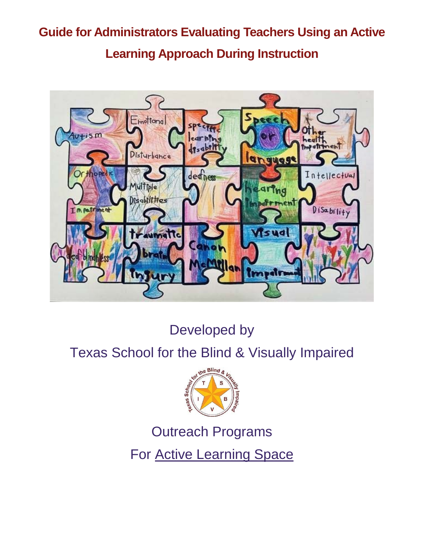# **Guide for Administrators Evaluating Teachers Using an Active Learning Approach During Instruction**



Developed by

## Texas School for the Blind & Visually Impaired



Outreach Programs

For [Active Learning Space](http://www.activelearningspace.org/)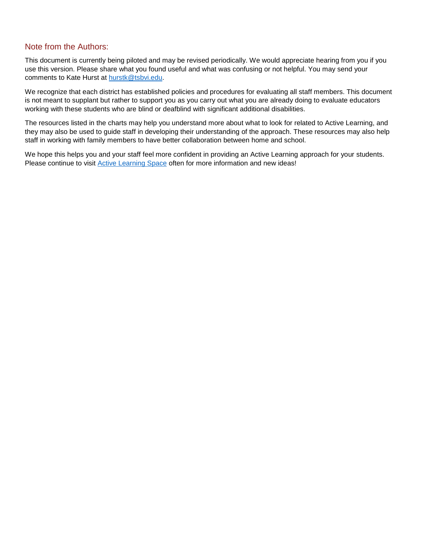#### Note from the Authors:

This document is currently being piloted and may be revised periodically. We would appreciate hearing from you if you use this version. Please share what you found useful and what was confusing or not helpful. You may send your comments to Kate Hurst at [hurstk@tsbvi.edu.](mailto:hurstk@tsbvi.edu)

We recognize that each district has established policies and procedures for evaluating all staff members. This document is not meant to supplant but rather to support you as you carry out what you are already doing to evaluate educators working with these students who are blind or deafblind with significant additional disabilities.

The resources listed in the charts may help you understand more about what to look for related to Active Learning, and they may also be used to guide staff in developing their understanding of the approach. These resources may also help staff in working with family members to have better collaboration between home and school.

We hope this helps you and your staff feel more confident in providing an Active Learning approach for your students. Please continue to visit [Active Learning Space](https://activelearningspace.org/) often for more information and new ideas!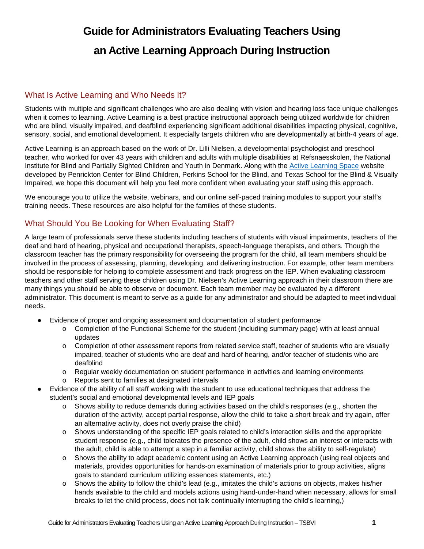### **Guide for Administrators Evaluating Teachers Using an Active Learning Approach During Instruction**

#### What Is Active Learning and Who Needs It?

Students with multiple and significant challenges who are also dealing with vision and hearing loss face unique challenges when it comes to learning. Active Learning is a best practice instructional approach being utilized worldwide for children who are blind, visually impaired, and deafblind experiencing significant additional disabilities impacting physical, cognitive, sensory, social, and emotional development. It especially targets children who are developmentally at birth-4 years of age.

Active Learning is an approach based on the work of Dr. Lilli Nielsen, a developmental psychologist and preschool teacher, who worked for over 43 years with children and adults with multiple disabilities at Refsnaesskolen, the National Institute for Blind and Partially Sighted Children and Youth in Denmark. Along with the [Active Learning Space](http://www.activelearningspace.org/) website developed by Penrickton Center for Blind Children, Perkins School for the Blind, and Texas School for the Blind & Visually Impaired, we hope this document will help you feel more confident when evaluating your staff using this approach.

We encourage you to utilize the website, webinars, and our online self-paced training modules to support your staff's training needs. These resources are also helpful for the families of these students.

#### What Should You Be Looking for When Evaluating Staff?

A large team of professionals serve these students including teachers of students with visual impairments, teachers of the deaf and hard of hearing, physical and occupational therapists, speech-language therapists, and others. Though the classroom teacher has the primary responsibility for overseeing the program for the child, all team members should be involved in the process of assessing, planning, developing, and delivering instruction. For example, other team members should be responsible for helping to complete assessment and track progress on the IEP. When evaluating classroom teachers and other staff serving these children using Dr. Nielsen's Active Learning approach in their classroom there are many things you should be able to observe or document. Each team member may be evaluated by a different administrator. This document is meant to serve as a guide for any administrator and should be adapted to meet individual needs.

- Evidence of proper and ongoing assessment and documentation of student performance
	- o Completion of the Functional Scheme for the student (including summary page) with at least annual updates
	- o Completion of other assessment reports from related service staff, teacher of students who are visually impaired, teacher of students who are deaf and hard of hearing, and/or teacher of students who are deafblind
	- o Regular weekly documentation on student performance in activities and learning environments
	- Reports sent to families at designated intervals
- Evidence of the ability of all staff working with the student to use educational techniques that address the student's social and emotional developmental levels and IEP goals
	- $\circ$  Shows ability to reduce demands during activities based on the child's responses (e.g., shorten the duration of the activity, accept partial response, allow the child to take a short break and try again, offer an alternative activity, does not overly praise the child)
	- $\circ$  Shows understanding of the specific IEP goals related to child's interaction skills and the appropriate student response (e.g., child tolerates the presence of the adult, child shows an interest or interacts with the adult, child is able to attempt a step in a familiar activity, child shows the ability to self-regulate)
	- o Shows the ability to adapt academic content using an Active Learning approach (using real objects and materials, provides opportunities for hands-on examination of materials prior to group activities, aligns goals to standard curriculum utilizing essences statements, etc.)
	- o Shows the ability to follow the child's lead (e.g., imitates the child's actions on objects, makes his/her hands available to the child and models actions using hand-under-hand when necessary, allows for small breaks to let the child process, does not talk continually interrupting the child's learning,)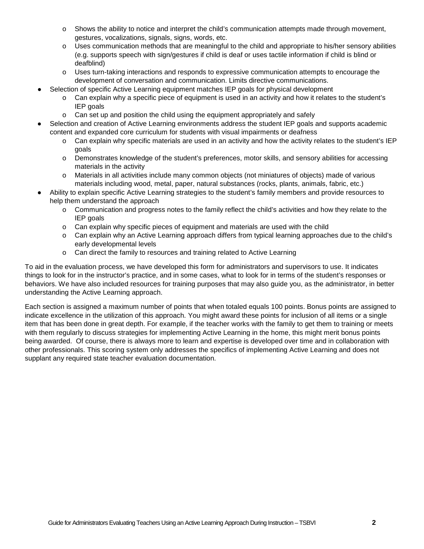- $\circ$  Shows the ability to notice and interpret the child's communication attempts made through movement, gestures, vocalizations, signals, signs, words, etc.
- o Uses communication methods that are meaningful to the child and appropriate to his/her sensory abilities (e.g. supports speech with sign/gestures if child is deaf or uses tactile information if child is blind or deafblind)
- o Uses turn-taking interactions and responds to expressive communication attempts to encourage the development of conversation and communication. Limits directive communications.
- Selection of specific Active Learning equipment matches IEP goals for physical development
	- o Can explain why a specific piece of equipment is used in an activity and how it relates to the student's IEP goals
	- $\circ$  Can set up and position the child using the equipment appropriately and safely
- Selection and creation of Active Learning environments address the student IEP goals and supports academic content and expanded core curriculum for students with visual impairments or deafness
	- o Can explain why specific materials are used in an activity and how the activity relates to the student's IEP goals
	- o Demonstrates knowledge of the student's preferences, motor skills, and sensory abilities for accessing materials in the activity
	- o Materials in all activities include many common objects (not miniatures of objects) made of various materials including wood, metal, paper, natural substances (rocks, plants, animals, fabric, etc.)
- Ability to explain specific Active Learning strategies to the student's family members and provide resources to help them understand the approach
	- o Communication and progress notes to the family reflect the child's activities and how they relate to the IEP goals
	- o Can explain why specific pieces of equipment and materials are used with the child
	- o Can explain why an Active Learning approach differs from typical learning approaches due to the child's early developmental levels
	- o Can direct the family to resources and training related to Active Learning

To aid in the evaluation process, we have developed this form for administrators and supervisors to use. It indicates things to look for in the instructor's practice, and in some cases, what to look for in terms of the student's responses or behaviors. We have also included resources for training purposes that may also guide you, as the administrator, in better understanding the Active Learning approach.

Each section is assigned a maximum number of points that when totaled equals 100 points. Bonus points are assigned to indicate excellence in the utilization of this approach. You might award these points for inclusion of all items or a single item that has been done in great depth. For example, if the teacher works with the family to get them to training or meets with them regularly to discuss strategies for implementing Active Learning in the home, this might merit bonus points being awarded. Of course, there is always more to learn and expertise is developed over time and in collaboration with other professionals. This scoring system only addresses the specifics of implementing Active Learning and does not supplant any required state teacher evaluation documentation.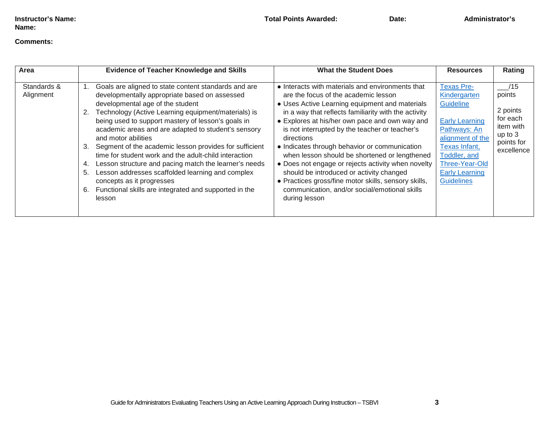#### **Comments:**

| Area                     | <b>Evidence of Teacher Knowledge and Skills</b>                                                                                                                                                                                                                                                                                                                                                                                                                                                                                                                                                                                                                                                    | <b>What the Student Does</b>                                                                                                                                                                                                                                                                                                                                                                                                                                                                                                                                                                                                                       | <b>Resources</b>                                                                                                                                                                                             | Rating                                                                                    |
|--------------------------|----------------------------------------------------------------------------------------------------------------------------------------------------------------------------------------------------------------------------------------------------------------------------------------------------------------------------------------------------------------------------------------------------------------------------------------------------------------------------------------------------------------------------------------------------------------------------------------------------------------------------------------------------------------------------------------------------|----------------------------------------------------------------------------------------------------------------------------------------------------------------------------------------------------------------------------------------------------------------------------------------------------------------------------------------------------------------------------------------------------------------------------------------------------------------------------------------------------------------------------------------------------------------------------------------------------------------------------------------------------|--------------------------------------------------------------------------------------------------------------------------------------------------------------------------------------------------------------|-------------------------------------------------------------------------------------------|
| Standards &<br>Alignment | Goals are aligned to state content standards and are<br>developmentally appropriate based on assessed<br>developmental age of the student<br>Technology (Active Learning equipment/materials) is<br>2.<br>being used to support mastery of lesson's goals in<br>academic areas and are adapted to student's sensory<br>and motor abilities<br>Segment of the academic lesson provides for sufficient<br>3.<br>time for student work and the adult-child interaction<br>Lesson structure and pacing match the learner's needs<br>4.<br>Lesson addresses scaffolded learning and complex<br>5.<br>concepts as it progresses<br>Functional skills are integrated and supported in the<br>6.<br>lesson | • Interacts with materials and environments that<br>are the focus of the academic lesson<br>• Uses Active Learning equipment and materials<br>in a way that reflects familiarity with the activity<br>• Explores at his/her own pace and own way and<br>is not interrupted by the teacher or teacher's<br>directions<br>• Indicates through behavior or communication<br>when lesson should be shortened or lengthened<br>• Does not engage or rejects activity when novelty<br>should be introduced or activity changed<br>• Practices gross/fine motor skills, sensory skills,<br>communication, and/or social/emotional skills<br>during lesson | <b>Texas Pre-</b><br>Kindergarten<br>Guideline<br><b>Early Learning</b><br>Pathways: An<br>alignment of the<br>Texas Infant,<br>Toddler, and<br>Three-Year-Old<br><b>Early Learning</b><br><b>Guidelines</b> | /15<br>points<br>2 points<br>for each<br>item with<br>up to 3<br>points for<br>excellence |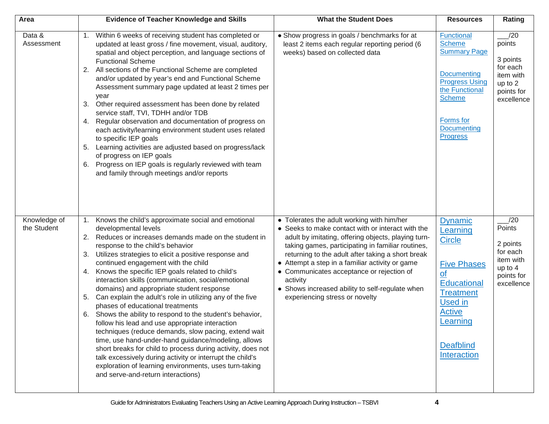| Area                        | <b>Evidence of Teacher Knowledge and Skills</b>                                                                                                                                                                                                                                                                                                                                                                                                                                                                                                                                                                                                                                                                                                                                                                                                                                                                                                                                                                      | <b>What the Student Does</b>                                                                                                                                                                                                                                                                                                                                                                                                                                      | <b>Resources</b>                                                                                                                                                                                          | Rating                                                                                    |
|-----------------------------|----------------------------------------------------------------------------------------------------------------------------------------------------------------------------------------------------------------------------------------------------------------------------------------------------------------------------------------------------------------------------------------------------------------------------------------------------------------------------------------------------------------------------------------------------------------------------------------------------------------------------------------------------------------------------------------------------------------------------------------------------------------------------------------------------------------------------------------------------------------------------------------------------------------------------------------------------------------------------------------------------------------------|-------------------------------------------------------------------------------------------------------------------------------------------------------------------------------------------------------------------------------------------------------------------------------------------------------------------------------------------------------------------------------------------------------------------------------------------------------------------|-----------------------------------------------------------------------------------------------------------------------------------------------------------------------------------------------------------|-------------------------------------------------------------------------------------------|
| Data &<br>Assessment        | Within 6 weeks of receiving student has completed or<br>1.<br>updated at least gross / fine movement, visual, auditory,<br>spatial and object perception, and language sections of<br><b>Functional Scheme</b><br>2. All sections of the Functional Scheme are completed<br>and/or updated by year's end and Functional Scheme<br>Assessment summary page updated at least 2 times per<br>year<br>Other required assessment has been done by related<br>3.<br>service staff, TVI, TDHH and/or TDB<br>Regular observation and documentation of progress on<br>4.<br>each activity/learning environment student uses related<br>to specific IEP goals<br>5. Learning activities are adjusted based on progress/lack<br>of progress on IEP goals<br>6. Progress on IEP goals is regularly reviewed with team<br>and family through meetings and/or reports                                                                                                                                                              | • Show progress in goals / benchmarks for at<br>least 2 items each regular reporting period (6<br>weeks) based on collected data                                                                                                                                                                                                                                                                                                                                  | Functional<br><b>Scheme</b><br><b>Summary Page</b><br><b>Documenting</b><br><b>Progress Using</b><br>the Functional<br><b>Scheme</b><br>Forms for<br><b>Documenting</b><br><b>Progress</b>                | /20<br>points<br>3 points<br>for each<br>item with<br>up to 2<br>points for<br>excellence |
| Knowledge of<br>the Student | 1. Knows the child's approximate social and emotional<br>developmental levels<br>Reduces or increases demands made on the student in<br>2.<br>response to the child's behavior<br>Utilizes strategies to elicit a positive response and<br>3.<br>continued engagement with the child<br>4. Knows the specific IEP goals related to child's<br>interaction skills (communication, social/emotional<br>domains) and appropriate student response<br>Can explain the adult's role in utilizing any of the five<br>5.<br>phases of educational treatments<br>Shows the ability to respond to the student's behavior,<br>6.<br>follow his lead and use appropriate interaction<br>techniques (reduce demands, slow pacing, extend wait<br>time, use hand-under-hand guidance/modeling, allows<br>short breaks for child to process during activity, does not<br>talk excessively during activity or interrupt the child's<br>exploration of learning environments, uses turn-taking<br>and serve-and-return interactions) | • Tolerates the adult working with him/her<br>• Seeks to make contact with or interact with the<br>adult by imitating, offering objects, playing turn-<br>taking games, participating in familiar routines,<br>returning to the adult after taking a short break<br>• Attempt a step in a familiar activity or game<br>• Communicates acceptance or rejection of<br>activity<br>• Shows increased ability to self-regulate when<br>experiencing stress or novelty | <b>Dynamic</b><br>Learning<br><b>Circle</b><br><b>Five Phases</b><br>$\Omega$<br><b>Educational</b><br><b>Treatment</b><br><b>Used in</b><br><b>Active</b><br>Learning<br><b>Deafblind</b><br>Interaction | /20<br>Points<br>2 points<br>for each<br>item with<br>up to 4<br>points for<br>excellence |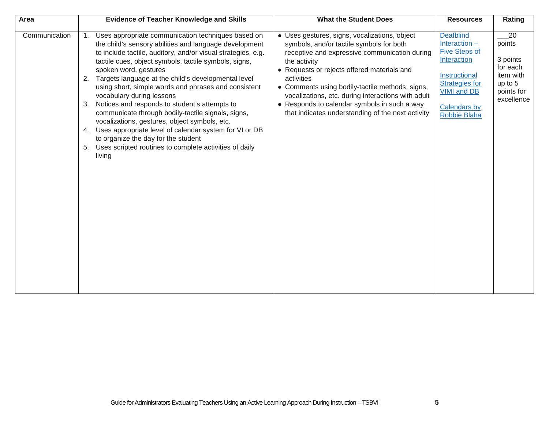| Area          | <b>Evidence of Teacher Knowledge and Skills</b>                                                                                                                                                                                                                                                                                                                                                                                                                                                                                                                                                                                                                                                                                                              | <b>What the Student Does</b>                                                                                                                                                                                                                                                                                                                                                                                                          | <b>Resources</b>                                                                                                                                                                         | Rating                                                                                   |
|---------------|--------------------------------------------------------------------------------------------------------------------------------------------------------------------------------------------------------------------------------------------------------------------------------------------------------------------------------------------------------------------------------------------------------------------------------------------------------------------------------------------------------------------------------------------------------------------------------------------------------------------------------------------------------------------------------------------------------------------------------------------------------------|---------------------------------------------------------------------------------------------------------------------------------------------------------------------------------------------------------------------------------------------------------------------------------------------------------------------------------------------------------------------------------------------------------------------------------------|------------------------------------------------------------------------------------------------------------------------------------------------------------------------------------------|------------------------------------------------------------------------------------------|
| Communication | Uses appropriate communication techniques based on<br>1.<br>the child's sensory abilities and language development<br>to include tactile, auditory, and/or visual strategies, e.g.<br>tactile cues, object symbols, tactile symbols, signs,<br>spoken word, gestures<br>Targets language at the child's developmental level<br>2.<br>using short, simple words and phrases and consistent<br>vocabulary during lessons<br>3. Notices and responds to student's attempts to<br>communicate through bodily-tactile signals, signs,<br>vocalizations, gestures, object symbols, etc.<br>4. Uses appropriate level of calendar system for VI or DB<br>to organize the day for the student<br>5. Uses scripted routines to complete activities of daily<br>living | • Uses gestures, signs, vocalizations, object<br>symbols, and/or tactile symbols for both<br>receptive and expressive communication during<br>the activity<br>• Requests or rejects offered materials and<br>activities<br>• Comments using bodily-tactile methods, signs,<br>vocalizations, etc. during interactions with adult<br>• Responds to calendar symbols in such a way<br>that indicates understanding of the next activity | <b>Deafblind</b><br>Interaction $-$<br><b>Five Steps of</b><br>Interaction<br>Instructional<br><b>Strategies for</b><br><b>VIMI and DB</b><br><b>Calendars by</b><br><b>Robbie Blaha</b> | 20<br>points<br>3 points<br>for each<br>item with<br>up to 5<br>points for<br>excellence |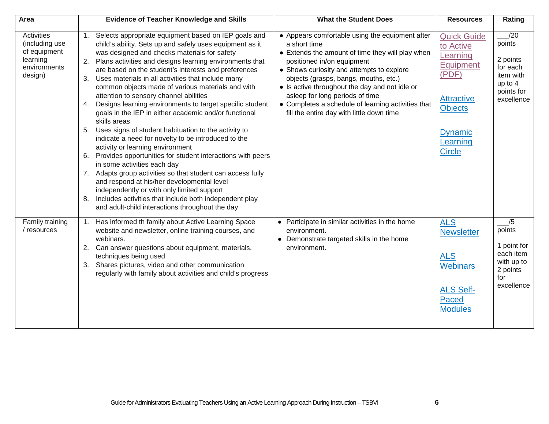| Area                                                                                       | <b>Evidence of Teacher Knowledge and Skills</b>                                                                                                                                                                                                                                                                                                                                                                                                                                                                                                                                                                                                                                                                                                                                                                                                                                                                                                                                                                                                                                                                                              | <b>What the Student Does</b>                                                                                                                                                                                                                                                                                                                                                                                                    | <b>Resources</b>                                                                                                                                        | Rating                                                                                    |
|--------------------------------------------------------------------------------------------|----------------------------------------------------------------------------------------------------------------------------------------------------------------------------------------------------------------------------------------------------------------------------------------------------------------------------------------------------------------------------------------------------------------------------------------------------------------------------------------------------------------------------------------------------------------------------------------------------------------------------------------------------------------------------------------------------------------------------------------------------------------------------------------------------------------------------------------------------------------------------------------------------------------------------------------------------------------------------------------------------------------------------------------------------------------------------------------------------------------------------------------------|---------------------------------------------------------------------------------------------------------------------------------------------------------------------------------------------------------------------------------------------------------------------------------------------------------------------------------------------------------------------------------------------------------------------------------|---------------------------------------------------------------------------------------------------------------------------------------------------------|-------------------------------------------------------------------------------------------|
| <b>Activities</b><br>(including use<br>of equipment<br>learning<br>environments<br>design) | Selects appropriate equipment based on IEP goals and<br>1.<br>child's ability. Sets up and safely uses equipment as it<br>was designed and checks materials for safety<br>Plans activities and designs learning environments that<br>2.<br>are based on the student's interests and preferences<br>Uses materials in all activities that include many<br>3.<br>common objects made of various materials and with<br>attention to sensory channel abilities<br>Designs learning environments to target specific student<br>4.<br>goals in the IEP in either academic and/or functional<br>skills areas<br>Uses signs of student habituation to the activity to<br>5.<br>indicate a need for novelty to be introduced to the<br>activity or learning environment<br>6. Provides opportunities for student interactions with peers<br>in some activities each day<br>7. Adapts group activities so that student can access fully<br>and respond at his/her developmental level<br>independently or with only limited support<br>Includes activities that include both independent play<br>8.<br>and adult-child interactions throughout the day | • Appears comfortable using the equipment after<br>a short time<br>• Extends the amount of time they will play when<br>positioned in/on equipment<br>• Shows curiosity and attempts to explore<br>objects (grasps, bangs, mouths, etc.)<br>• Is active throughout the day and not idle or<br>asleep for long periods of time<br>• Completes a schedule of learning activities that<br>fill the entire day with little down time | <b>Quick Guide</b><br>to Active<br>Learning<br>Equipment<br>(PDF)<br><b>Attractive</b><br><b>Objects</b><br><b>Dynamic</b><br>Learning<br><b>Circle</b> | /20<br>points<br>2 points<br>for each<br>item with<br>up to 4<br>points for<br>excellence |
| Family training<br>/ resources                                                             | Has informed th family about Active Learning Space<br>1.<br>website and newsletter, online training courses, and<br>webinars.<br>2. Can answer questions about equipment, materials,<br>techniques being used<br>3. Shares pictures, video and other communication<br>regularly with family about activities and child's progress                                                                                                                                                                                                                                                                                                                                                                                                                                                                                                                                                                                                                                                                                                                                                                                                            | • Participate in similar activities in the home<br>environment.<br>• Demonstrate targeted skills in the home<br>environment.                                                                                                                                                                                                                                                                                                    | <b>ALS</b><br><b>Newsletter</b><br><b>ALS</b><br><b>Webinars</b><br><b>ALS Self-</b><br>Paced<br><b>Modules</b>                                         | /5<br>points<br>1 point for<br>each item<br>with up to<br>2 points<br>for<br>excellence   |